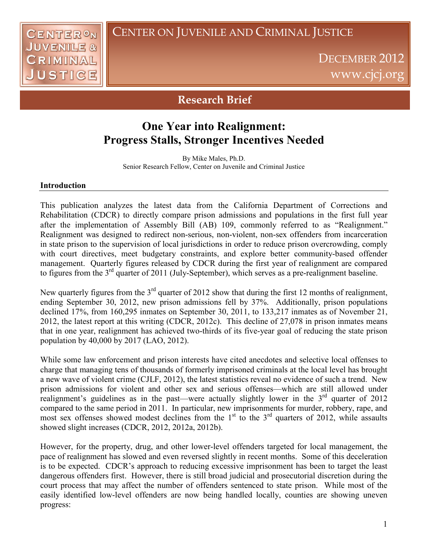## CENTER ON JUVENILE AND CRIMINAL JUSTICE



DECEMBER 2012 www.cjcj.org

## **Research Brief**

# **One Year into Realignment: Progress Stalls, Stronger Incentives Needed**

By Mike Males, Ph.D. Senior Research Fellow, Center on Juvenile and Criminal Justice

### **Introduction**

This publication analyzes the latest data from the California Department of Corrections and Rehabilitation (CDCR) to directly compare prison admissions and populations in the first full year after the implementation of Assembly Bill (AB) 109, commonly referred to as "Realignment." Realignment was designed to redirect non-serious, non-violent, non-sex offenders from incarceration in state prison to the supervision of local jurisdictions in order to reduce prison overcrowding, comply with court directives, meet budgetary constraints, and explore better community-based offender management. Quarterly figures released by CDCR during the first year of realignment are compared to figures from the 3<sup>rd</sup> quarter of 2011 (July-September), which serves as a pre-realignment baseline.

New quarterly figures from the 3<sup>rd</sup> quarter of 2012 show that during the first 12 months of realignment, ending September 30, 2012, new prison admissions fell by 37%. Additionally, prison populations declined 17%, from 160,295 inmates on September 30, 2011, to 133,217 inmates as of November 21, 2012, the latest report at this writing (CDCR, 2012c). This decline of 27,078 in prison inmates means that in one year, realignment has achieved two-thirds of its five-year goal of reducing the state prison population by 40,000 by 2017 (LAO, 2012).

While some law enforcement and prison interests have cited anecdotes and selective local offenses to charge that managing tens of thousands of formerly imprisoned criminals at the local level has brought a new wave of violent crime (CJLF, 2012), the latest statistics reveal no evidence of such a trend. New prison admissions for violent and other sex and serious offenses—which are still allowed under realignment's guidelines as in the past—were actually slightly lower in the  $3<sup>rd</sup>$  quarter of 2012 compared to the same period in 2011. In particular, new imprisonments for murder, robbery, rape, and most sex offenses showed modest declines from the  $1<sup>st</sup>$  to the  $3<sup>rd</sup>$  quarters of 2012, while assaults showed slight increases (CDCR, 2012, 2012a, 2012b).

However, for the property, drug, and other lower-level offenders targeted for local management, the pace of realignment has slowed and even reversed slightly in recent months. Some of this deceleration is to be expected. CDCR's approach to reducing excessive imprisonment has been to target the least dangerous offenders first. However, there is still broad judicial and prosecutorial discretion during the court process that may affect the number of offenders sentenced to state prison. While most of the easily identified low-level offenders are now being handled locally, counties are showing uneven progress: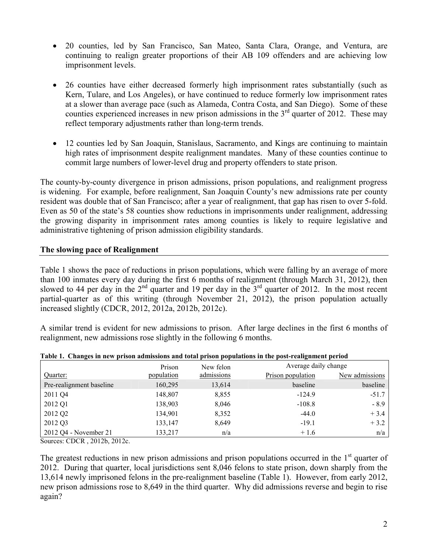- 20 counties, led by San Francisco, San Mateo, Santa Clara, Orange, and Ventura, are continuing to realign greater proportions of their AB 109 offenders and are achieving low imprisonment levels.
- 26 counties have either decreased formerly high imprisonment rates substantially (such as Kern, Tulare, and Los Angeles), or have continued to reduce formerly low imprisonment rates at a slower than average pace (such as Alameda, Contra Costa, and San Diego). Some of these counties experienced increases in new prison admissions in the  $3<sup>rd</sup>$  quarter of 2012. These may reflect temporary adjustments rather than long-term trends.
- 12 counties led by San Joaquin, Stanislaus, Sacramento, and Kings are continuing to maintain high rates of imprisonment despite realignment mandates. Many of these counties continue to commit large numbers of lower-level drug and property offenders to state prison.

The county-by-county divergence in prison admissions, prison populations, and realignment progress is widening. For example, before realignment, San Joaquin County's new admissions rate per county resident was double that of San Francisco; after a year of realignment, that gap has risen to over 5-fold. Even as 50 of the state's 58 counties show reductions in imprisonments under realignment, addressing the growing disparity in imprisonment rates among counties is likely to require legislative and administrative tightening of prison admission eligibility standards.

## **The slowing pace of Realignment**

Table 1 shows the pace of reductions in prison populations, which were falling by an average of more than 100 inmates every day during the first 6 months of realignment (through March 31, 2012), then slowed to 44 per day in the  $2<sup>nd</sup>$  quarter and 19 per day in the  $3<sup>rd</sup>$  quarter of 2012. In the most recent partial-quarter as of this writing (through November 21, 2012), the prison population actually increased slightly (CDCR, 2012, 2012a, 2012b, 2012c).

A similar trend is evident for new admissions to prison. After large declines in the first 6 months of realignment, new admissions rose slightly in the following 6 months.

|                          | Prison     | New felon  | Average daily change |                |
|--------------------------|------------|------------|----------------------|----------------|
| Quarter:                 | population | admissions | Prison population    | New admissions |
| Pre-realignment baseline | 160,295    | 13,614     | baseline             | baseline       |
| 2011 Q4                  | 148,807    | 8,855      | $-124.9$             | $-51.7$        |
| 2012 Q1                  | 138,903    | 8,046      | $-108.8$             | $-8.9$         |
| 2012 Q2                  | 134,901    | 8,352      | $-44.0$              | $+3.4$         |
| 2012 Q3                  | 133,147    | 8,649      | $-19.1$              | $+3.2$         |
| 2012 Q4 - November 21    | 133,217    | n/a        | $+1.6$               | n/a            |

**Table 1. Changes in new prison admissions and total prison populations in the post-realignment period** 

Sources: CDCR , 2012b, 2012c.

The greatest reductions in new prison admissions and prison populations occurred in the  $1<sup>st</sup>$  quarter of 2012. During that quarter, local jurisdictions sent 8,046 felons to state prison, down sharply from the 13,614 newly imprisoned felons in the pre-realignment baseline (Table 1). However, from early 2012, new prison admissions rose to 8,649 in the third quarter. Why did admissions reverse and begin to rise again?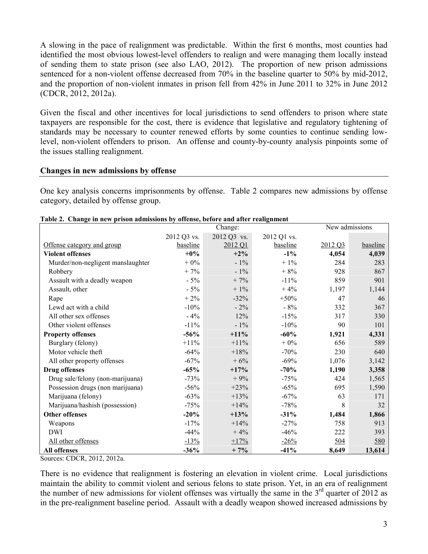A slowing in the pace of realignment was predictable. Within the first 6 months, most counties had identified the most obvious lowest-level offenders to realign and were managing them locally instead of sending them to state prison (see also LAO, 2012). The proportion of new prison admissions sentenced for a non-violent offense decreased from 70% in the baseline quarter to 50% by mid-2012, and the proportion of non-violent inmates in prison fell from 42% in June 2011 to 32% in June 2012 (CDCR, 2012, 2012a).

Given the fiscal and other incentives for local jurisdictions to send offenders to prison where state taxpayers are responsible for the cost, there is evidence that legislative and regulatory tightening of standards may be necessary to counter renewed efforts by some counties to continue sending lowlevel, non-violent offenders to prison. An offense and county-by-county analysis pinpoints some of the issues stalling realignment.

### **Changes in new admissions by offense**

One key analysis concerns imprisonments by offense. Table 2 compares new admissions by offense category, detailed by offense group.

|                                   | гарк 2. Спандс ні пем рітэріі айннэзірнэ ру отіснэс, реготе ани атісі теандінісігі<br>Change: |             |             |            | New admissions |  |
|-----------------------------------|-----------------------------------------------------------------------------------------------|-------------|-------------|------------|----------------|--|
|                                   | 2012 Q3 vs.                                                                                   | 2012 Q3 vs. | 2012 Q1 vs. |            |                |  |
| Offense category and group        | baseline                                                                                      | 2012 Q1     | baseline    | 2012 Q3    | baseline       |  |
| <b>Violent offenses</b>           | $+0\%$                                                                                        | $+2\%$      | $-1\%$      | 4,054      | 4,039          |  |
| Murder/non-negligent manslaughter | $+0\%$                                                                                        | $-1\%$      | $+1\%$      | 284        | 283            |  |
| Robbery                           | $+7%$                                                                                         | $-1\%$      | $+8%$       | 928        | 867            |  |
| Assault with a deadly weapon      | $-5%$                                                                                         | $+7%$       | $-11\%$     | 859        | 901            |  |
| Assault, other                    | $-5%$                                                                                         | $+1\%$      | $+4%$       | 1,197      | 1,144          |  |
| Rape                              | $+2\%$                                                                                        | $-32%$      | $+50%$      | 47         | 46             |  |
| Lewd act with a child             | $-10%$                                                                                        | $-2\%$      | $-8%$       | 332        | 367            |  |
| All other sex offenses            | $-4%$                                                                                         | 12%         | $-15%$      | 317        | 330            |  |
| Other violent offenses            | $-11\%$                                                                                       | $-1\%$      | $-10%$      | 90         | 101            |  |
| <b>Property offenses</b>          | $-56%$                                                                                        | $+11\%$     | $-60%$      | 1,921      | 4,331          |  |
| Burglary (felony)                 | $+11\%$                                                                                       | $+11\%$     | $+0\%$      | 656        | 589            |  |
| Motor vehicle theft               | $-64%$                                                                                        | $+18%$      | $-70%$      | 230        | 640            |  |
| All other property offenses       | $-67%$                                                                                        | $+6%$       | $-69%$      | 1,076      | 3,142          |  |
| <b>Drug offenses</b>              | $-65%$                                                                                        | $+17%$      | $-70%$      | 1,190      | 3,358          |  |
| Drug sale/felony (non-marijuana)  | $-73%$                                                                                        | $+9%$       | $-75%$      | 424        | 1,565          |  |
| Possession drugs (non marijuana)  | $-56%$                                                                                        | $+23%$      | $-65%$      | 695        | 1,590          |  |
| Marijuana (felony)                | $-63%$                                                                                        | $+13%$      | $-67%$      | 63         | 171            |  |
| Marijuana/hashish (possession)    | $-75%$                                                                                        | $+14%$      | $-78%$      | 8          | 32             |  |
| <b>Other offenses</b>             | $-20%$                                                                                        | $+13%$      | $-31%$      | 1,484      | 1,866          |  |
| Weapons                           | $-17%$                                                                                        | $+14%$      | $-27%$      | 758        | 913            |  |
| <b>DWI</b>                        | $-44%$                                                                                        | $+4%$       | $-46%$      | 222        | 393            |  |
| All other offenses                | $-13%$                                                                                        | $+17%$      | $-26%$      | <u>504</u> | 580            |  |
| All offenses                      | $-36%$                                                                                        | $+7%$       | $-41%$      | 8,649      | 13,614         |  |

**Table 2. Change in new prison admissions by offense, before and after realignment** 

Sources: CDCR, 2012, 2012a.

There is no evidence that realignment is fostering an elevation in violent crime. Local jurisdictions maintain the ability to commit violent and serious felons to state prison. Yet, in an era of realignment the number of new admissions for violent offenses was virtually the same in the  $3<sup>rd</sup>$  quarter of 2012 as in the pre-realignment baseline period. Assault with a deadly weapon showed increased admissions by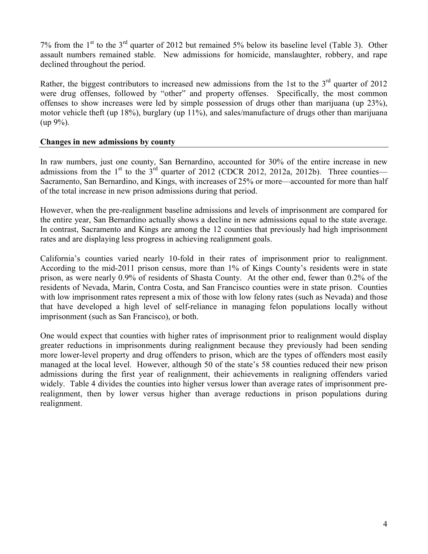7% from the  $1<sup>st</sup>$  to the  $3<sup>rd</sup>$  quarter of 2012 but remained 5% below its baseline level (Table 3). Other assault numbers remained stable. New admissions for homicide, manslaughter, robbery, and rape declined throughout the period.

Rather, the biggest contributors to increased new admissions from the 1st to the  $3<sup>rd</sup>$  quarter of 2012 were drug offenses, followed by "other" and property offenses. Specifically, the most common offenses to show increases were led by simple possession of drugs other than marijuana (up 23%), motor vehicle theft (up 18%), burglary (up 11%), and sales/manufacture of drugs other than marijuana  $(up 9\%).$ 

### **Changes in new admissions by county**

In raw numbers, just one county, San Bernardino, accounted for 30% of the entire increase in new admissions from the  $1<sup>st</sup>$  to the  $3<sup>rd</sup>$  quarter of 2012 (CDCR 2012, 2012a, 2012b). Three counties— Sacramento, San Bernardino, and Kings, with increases of 25% or more—accounted for more than half of the total increase in new prison admissions during that period.

However, when the pre-realignment baseline admissions and levels of imprisonment are compared for the entire year, San Bernardino actually shows a decline in new admissions equal to the state average. In contrast, Sacramento and Kings are among the 12 counties that previously had high imprisonment rates and are displaying less progress in achieving realignment goals.

California's counties varied nearly 10-fold in their rates of imprisonment prior to realignment. According to the mid-2011 prison census, more than 1% of Kings County's residents were in state prison, as were nearly 0.9% of residents of Shasta County. At the other end, fewer than 0.2% of the residents of Nevada, Marin, Contra Costa, and San Francisco counties were in state prison. Counties with low imprisonment rates represent a mix of those with low felony rates (such as Nevada) and those that have developed a high level of self-reliance in managing felon populations locally without imprisonment (such as San Francisco), or both.

One would expect that counties with higher rates of imprisonment prior to realignment would display greater reductions in imprisonments during realignment because they previously had been sending more lower-level property and drug offenders to prison, which are the types of offenders most easily managed at the local level. However, although 50 of the state's 58 counties reduced their new prison admissions during the first year of realignment, their achievements in realigning offenders varied widely. Table 4 divides the counties into higher versus lower than average rates of imprisonment prerealignment, then by lower versus higher than average reductions in prison populations during realignment.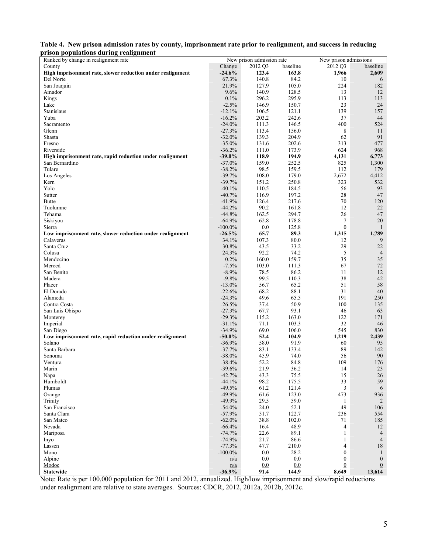|                                       | Table 4. New prison admission rates by county, imprisonment rate prior to realignment, and success in reducing |  |
|---------------------------------------|----------------------------------------------------------------------------------------------------------------|--|
| prison populations during realignment |                                                                                                                |  |

| 1150n populations uuring reangument<br>Ranked by change in realignment rate |               | New prison admission rate |          | New prison admissions |                |
|-----------------------------------------------------------------------------|---------------|---------------------------|----------|-----------------------|----------------|
| County                                                                      | <b>Change</b> | 2012 Q3                   | baseline | 2012 Q3               | baseline       |
| High imprisonment rate, slower reduction under realignment                  | $-24.6%$      | 123.4                     | 163.8    | 1,966                 | 2,609          |
| Del Norte                                                                   | 67.3%         | 140.8                     | 84.2     | 10                    | 6              |
| San Joaquin                                                                 | 21.9%         | 127.9                     | 105.0    | 224                   | 182            |
| Amador                                                                      | 9.6%          | 140.9                     | 128.5    | 13                    | 12             |
| Kings                                                                       | 0.1%          | 296.2                     | 295.9    | 113                   | 113            |
| Lake                                                                        | $-2.5%$       | 146.9                     | 150.7    | 23                    | 24             |
|                                                                             | $-12.1%$      | 106.5                     | 121.1    | 139                   | 157            |
| Stanislaus                                                                  |               |                           |          |                       |                |
| Yuba                                                                        | $-16.2%$      | 203.2                     | 242.6    | 37                    | 44             |
| Sacramento                                                                  | $-24.0%$      | 111.3                     | 146.5    | 400                   | 524            |
| Glenn                                                                       | $-27.3%$      | 113.4                     | 156.0    | 8                     | 11             |
| Shasta                                                                      | $-32.0%$      | 139.3                     | 204.9    | 62                    | 91             |
| Fresno                                                                      | $-35.0\%$     | 131.6                     | 202.6    | 313                   | 477            |
| Riverside                                                                   | $-36.2%$      | 111.0                     | 173.9    | 624                   | 968            |
| High imprisonment rate, rapid reduction under realignment                   | $-39.0%$      | 118.9                     | 194.9    | 4,131                 | 6,773          |
| San Bernardino                                                              | $-37.0%$      | 159.0                     | 252.5    | 825                   | 1,300          |
| Tulare                                                                      | $-38.2%$      | 98.5                      | 159.5    | 112                   | 179            |
| Los Angeles                                                                 | $-39.7%$      | 108.0                     | 179.0    | 2,672                 | 4,412          |
| Kern                                                                        | $-39.7%$      | 151.2                     | 250.8    | 323                   | 532            |
| Yolo                                                                        | $-40.1%$      | 110.5                     | 184.5    | 56                    | 93             |
| Sutter                                                                      | $-40.7%$      | 116.9                     | 197.2    | $28\,$                | $47\,$         |
| Butte                                                                       | $-41.9%$      | 126.4                     | 217.6    | 70                    | 120            |
| Tuolumne                                                                    | $-44.2%$      | 90.2                      | 161.8    | 12                    | 22             |
| Tehama                                                                      | $-44.8%$      | 162.5                     | 294.7    | 26                    | 47             |
| Siskiyou                                                                    | $-64.9%$      | 62.8                      | 178.8    | 7                     | 20             |
| Sierra                                                                      | $-100.0\%$    | 0.0                       | 125.8    | $\boldsymbol{0}$      | -1             |
| Low imprisonment rate, slower reduction under realignment                   | $-26.5%$      | 65.7                      | 89.3     | 1,315                 | 1,789          |
| Calaveras                                                                   | 34.1%         | 107.3                     | 80.0     | 12                    | 9              |
| Santa Cruz                                                                  | 30.8%         | 43.5                      | 33.2     | 29                    | 22             |
| Colusa                                                                      | 24.3%         | 92.2                      | 74.2     | 5                     | $\overline{4}$ |
|                                                                             |               |                           |          | 35                    |                |
| Mendocino                                                                   | 0.2%          | 160.0                     | 159.7    |                       | 35             |
| Merced                                                                      | $-7.5%$       | 103.0                     | 111.3    | 67                    | 72             |
| San Benito                                                                  | $-8.9%$       | 78.5                      | 86.2     | 11                    | 12             |
| Madera                                                                      | $-9.8%$       | 99.5                      | 110.3    | 38                    | $42\,$         |
| Placer                                                                      | $-13.0%$      | 56.7                      | 65.2     | 51                    | 58             |
| El Dorado                                                                   | $-22.6%$      | 68.2                      | 88.1     | 31                    | 40             |
| Alameda                                                                     | $-24.3%$      | 49.6                      | 65.5     | 191                   | 250            |
| Contra Costa                                                                | $-26.5%$      | 37.4                      | 50.9     | 100                   | 135            |
| San Luis Obispo                                                             | $-27.3%$      | 67.7                      | 93.1     | 46                    | 63             |
| Monterey                                                                    | $-29.3%$      | 115.2                     | 163.0    | 122                   | 171            |
| Imperial                                                                    | $-31.1%$      | 71.1                      | 103.3    | 32                    | 46             |
| San Diego                                                                   | $-34.9%$      | 69.0                      | 106.0    | 545                   | 830            |
| Low imprisonment rate, rapid reduction under realignment                    | $-50.0\%$     | 52.4                      | 104.9    | 1,219                 | 2,439          |
| Solano                                                                      | $-36.9%$      | 58.0                      | 91.9     | 60                    | 95             |
| Santa Barbara                                                               | $-37.7%$      | 83.1                      | 133.4    | 89                    | 142            |
| Sonoma                                                                      | $-38.0%$      | 45.9                      | 74.0     | 56                    | 90             |
| Ventura                                                                     | $-38.4%$      | 52.2                      | 84.8     | 109                   | 176            |
| Marin                                                                       | $-39.6%$      | 21.9                      | 36.2     | 14                    | 23             |
| Napa                                                                        | $-42.7%$      | 43.3                      | 75.5     | 15                    | $26\,$         |
| Humboldt                                                                    | $-44.1%$      | 98.2                      | 175.5    | 33                    | 59             |
| Plumas                                                                      | $-49.5%$      | 61.2                      | 121.4    | 3                     | 6              |
| Orange                                                                      | $-49.9%$      | 61.6                      | 123.0    | 473                   | 936            |
| Trinity                                                                     | $-49.9%$      | 29.5                      | 59.0     | 1                     | 2              |
| San Francisco                                                               | $-54.0%$      | 24.0                      | 52.1     | 49                    | 106            |
| Santa Clara                                                                 | $-57.9%$      | 51.7                      | 122.7    | 236                   | 554            |
| San Mateo                                                                   | $-62.0%$      | 38.8                      | 102.0    | 71                    | 185            |
| Nevada                                                                      | $-66.4%$      | 16.4                      | 48.9     | $\overline{4}$        | 12             |
| Mariposa                                                                    | $-74.7%$      | 22.6                      | 89.1     | $\mathbf{1}$          | $\overline{4}$ |
| Inyo                                                                        | $-74.9%$      | 21.7                      | 86.6     | $\mathbf{1}$          | $\overline{4}$ |
| Lassen                                                                      | $-77.3%$      | 47.7                      | 210.0    | 4                     | $18\,$         |
| Mono                                                                        | $-100.0\%$    | 0.0                       | 28.2     | $\boldsymbol{0}$      | $\mathbf{1}$   |
| Alpine                                                                      | n/a           | 0.0                       | 0.0      | $\boldsymbol{0}$      | $\mathbf{0}$   |
| Modoc                                                                       | n/a           | 0.0                       | 0.0      | $\boldsymbol{0}$      | $\mathbf{0}$   |
| <b>Statewide</b>                                                            | $-36.9%$      | 91.4                      | 144.9    | 8,649                 | 13,614         |

Note: Rate is per 100,000 population for 2011 and 2012, annualized. High/low imprisonment and slow/rapid reductions under realignment are relative to state averages. Sources: CDCR, 2012, 2012a, 2012b, 2012c.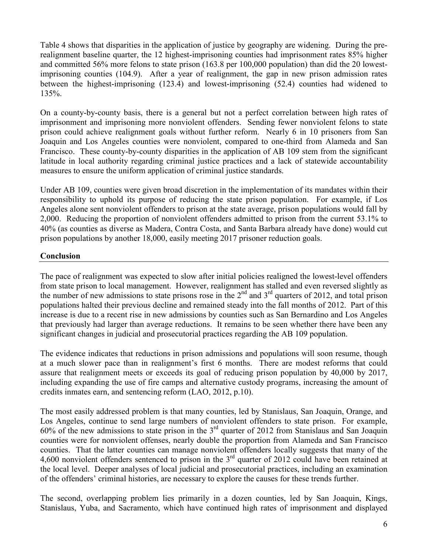Table 4 shows that disparities in the application of justice by geography are widening. During the prerealignment baseline quarter, the 12 highest-imprisoning counties had imprisonment rates 85% higher and committed 56% more felons to state prison (163.8 per 100,000 population) than did the 20 lowestimprisoning counties (104.9). After a year of realignment, the gap in new prison admission rates between the highest-imprisoning (123.4) and lowest-imprisoning (52.4) counties had widened to 135%.

On a county-by-county basis, there is a general but not a perfect correlation between high rates of imprisonment and imprisoning more nonviolent offenders. Sending fewer nonviolent felons to state prison could achieve realignment goals without further reform. Nearly 6 in 10 prisoners from San Joaquin and Los Angeles counties were nonviolent, compared to one-third from Alameda and San Francisco. These county-by-county disparities in the application of AB 109 stem from the significant latitude in local authority regarding criminal justice practices and a lack of statewide accountability measures to ensure the uniform application of criminal justice standards.

Under AB 109, counties were given broad discretion in the implementation of its mandates within their responsibility to uphold its purpose of reducing the state prison population. For example, if Los Angeles alone sent nonviolent offenders to prison at the state average, prison populations would fall by 2,000. Reducing the proportion of nonviolent offenders admitted to prison from the current 53.1% to 40% (as counties as diverse as Madera, Contra Costa, and Santa Barbara already have done) would cut prison populations by another 18,000, easily meeting 2017 prisoner reduction goals.

## **Conclusion**

The pace of realignment was expected to slow after initial policies realigned the lowest-level offenders from state prison to local management. However, realignment has stalled and even reversed slightly as the number of new admissions to state prisons rose in the  $2<sup>nd</sup>$  and  $3<sup>rd</sup>$  quarters of 2012, and total prison populations halted their previous decline and remained steady into the fall months of 2012. Part of this increase is due to a recent rise in new admissions by counties such as San Bernardino and Los Angeles that previously had larger than average reductions. It remains to be seen whether there have been any significant changes in judicial and prosecutorial practices regarding the AB 109 population.

The evidence indicates that reductions in prison admissions and populations will soon resume, though at a much slower pace than in realignment's first 6 months. There are modest reforms that could assure that realignment meets or exceeds its goal of reducing prison population by 40,000 by 2017, including expanding the use of fire camps and alternative custody programs, increasing the amount of credits inmates earn, and sentencing reform (LAO, 2012, p.10).

The most easily addressed problem is that many counties, led by Stanislaus, San Joaquin, Orange, and Los Angeles, continue to send large numbers of nonviolent offenders to state prison. For example, 60% of the new admissions to state prison in the 3rd quarter of 2012 from Stanislaus and San Joaquin counties were for nonviolent offenses, nearly double the proportion from Alameda and San Francisco counties. That the latter counties can manage nonviolent offenders locally suggests that many of the 4,600 nonviolent offenders sentenced to prison in the 3rd quarter of 2012 could have been retained at the local level. Deeper analyses of local judicial and prosecutorial practices, including an examination of the offenders' criminal histories, are necessary to explore the causes for these trends further.

The second, overlapping problem lies primarily in a dozen counties, led by San Joaquin, Kings, Stanislaus, Yuba, and Sacramento, which have continued high rates of imprisonment and displayed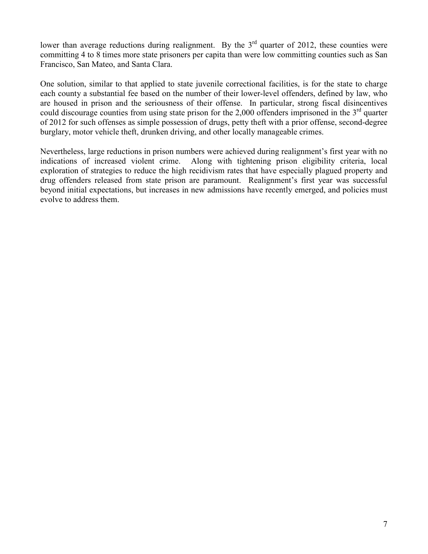lower than average reductions during realignment. By the 3<sup>rd</sup> quarter of 2012, these counties were committing 4 to 8 times more state prisoners per capita than were low committing counties such as San Francisco, San Mateo, and Santa Clara.

One solution, similar to that applied to state juvenile correctional facilities, is for the state to charge each county a substantial fee based on the number of their lower-level offenders, defined by law, who are housed in prison and the seriousness of their offense. In particular, strong fiscal disincentives could discourage counties from using state prison for the 2,000 offenders imprisoned in the  $3<sup>rd</sup>$  quarter of 2012 for such offenses as simple possession of drugs, petty theft with a prior offense, second-degree burglary, motor vehicle theft, drunken driving, and other locally manageable crimes.

Nevertheless, large reductions in prison numbers were achieved during realignment's first year with no indications of increased violent crime. Along with tightening prison eligibility criteria, local exploration of strategies to reduce the high recidivism rates that have especially plagued property and drug offenders released from state prison are paramount. Realignment's first year was successful beyond initial expectations, but increases in new admissions have recently emerged, and policies must evolve to address them.